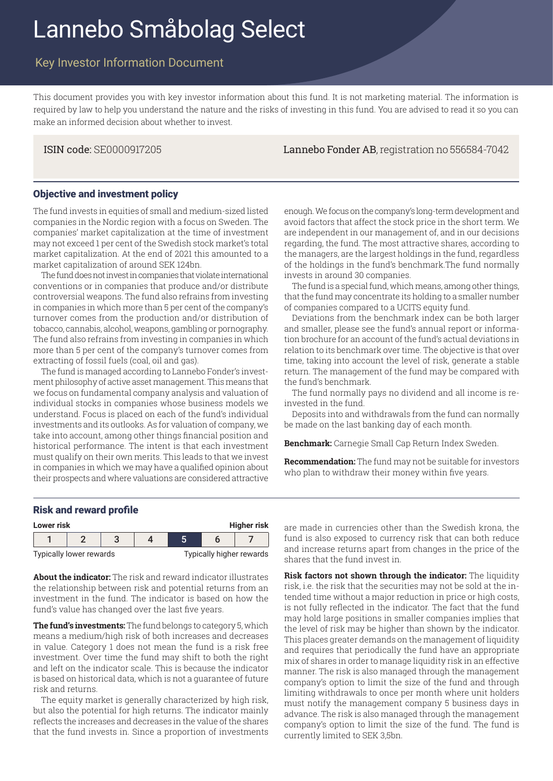# Lannebo Småbolag Select

## Key Investor Information Document

This document provides you with key investor information about this fund. It is not marketing material. The information is required by law to help you understand the nature and the risks of investing in this fund. You are advised to read it so you can make an informed decision about whether to invest.

ISIN code: SE0000917205 Lannebo Fonder AB, registration no 556584-7042

#### Objective and investment policy

The fund invests in equities of small and medium-sized listed companies in the Nordic region with a focus on Sweden. The companies' market capitalization at the time of investment may not exceed 1 per cent of the Swedish stock market's total market capitalization. At the end of 2021 this amounted to a market capitalization of around SEK 124bn.

The fund does not invest in companies that violate international conventions or in companies that produce and/or distribute controversial weapons. The fund also refrains from investing in companies in which more than 5 per cent of the company's turnover comes from the production and/or distribution of tobacco, cannabis, alcohol, weapons, gambling or pornography. The fund also refrains from investing in companies in which more than 5 per cent of the company's turnover comes from extracting of fossil fuels (coal, oil and gas).

The fund is managed according to Lannebo Fonder's investment philosophy of active asset management. This means that we focus on fundamental company analysis and valuation of individual stocks in companies whose business models we understand. Focus is placed on each of the fund's individual investments and its outlooks. As for valuation of company, we take into account, among other things financial position and historical performance. The intent is that each investment must qualify on their own merits. This leads to that we invest in companies in which we may have a qualified opinion about their prospects and where valuations are considered attractive

enough. We focus on the company's long-term development and avoid factors that affect the stock price in the short term. We are independent in our management of, and in our decisions regarding, the fund. The most attractive shares, according to the managers, are the largest holdings in the fund, regardless of the holdings in the fund's benchmark.The fund normally invests in around 30 companies.

The fund is a special fund, which means, among other things, that the fund may concentrate its holding to a smaller number of companies compared to a UCITS equity fund.

Deviations from the benchmark index can be both larger and smaller, please see the fund's annual report or information brochure for an account of the fund's actual deviations in relation to its benchmark over time. The objective is that over time, taking into account the level of risk, generate a stable return. The management of the fund may be compared with the fund's benchmark.

The fund normally pays no dividend and all income is reinvested in the fund.

Deposits into and withdrawals from the fund can normally be made on the last banking day of each month.

**Benchmark:** Carnegie Small Cap Return Index Sweden.

**Recommendation:** The fund may not be suitable for investors who plan to withdraw their money within five years.

#### Risk and reward profile

| Lower risk |                         |  |  |                          |  |  | <b>Higher risk</b> |
|------------|-------------------------|--|--|--------------------------|--|--|--------------------|
|            |                         |  |  |                          |  |  |                    |
|            | Typically lower rewards |  |  | Typically higher rewards |  |  |                    |

**About the indicator:** The risk and reward indicator illustrates the relationship between risk and potential returns from an investment in the fund. The indicator is based on how the fund's value has changed over the last five years.

**The fund's investments:** The fund belongs to category 5, which means a medium/high risk of both increases and decreases in value. Category 1 does not mean the fund is a risk free investment. Over time the fund may shift to both the right and left on the indicator scale. This is because the indicator is based on historical data, which is not a guarantee of future risk and returns.

The equity market is generally characterized by high risk, but also the potential for high returns. The indicator mainly reflects the increases and decreases in the value of the shares that the fund invests in. Since a proportion of investments **Lower risk Higher risk** are made in currencies other than the Swedish krona, the fund is also exposed to currency risk that can both reduce and increase returns apart from changes in the price of the shares that the fund invest in.

**Risk factors not shown through the indicator:** The liquidity risk, i.e. the risk that the securities may not be sold at the intended time without a major reduction in price or high costs, is not fully reflected in the indicator. The fact that the fund may hold large positions in smaller companies implies that the level of risk may be higher than shown by the indicator. This places greater demands on the management of liquidity and requires that periodically the fund have an appropriate mix of shares in order to manage liquidity risk in an effective manner. The risk is also managed through the management company's option to limit the size of the fund and through limiting withdrawals to once per month where unit holders must notify the management company 5 business days in advance. The risk is also managed through the management company's option to limit the size of the fund. The fund is currently limited to SEK 3,5bn.